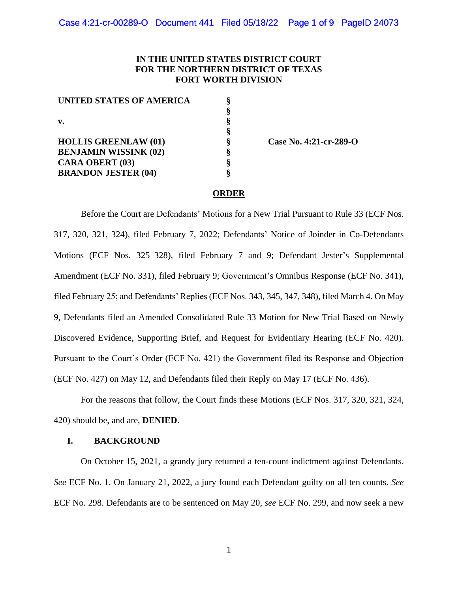## **IN THE UNITED STATES DISTRICT COURT FOR THE NORTHERN DISTRICT OF TEXAS FORT WORTH DIVISION**

**§**

**§**

**§ § § §**

| UNITED STATES OF AMERICA<br>v. | ş |
|--------------------------------|---|
|                                | ş |
|                                | ş |
|                                | ş |
| <b>HOLLIS GREENLAW (01)</b>    | ş |
| <b>BENJAMIN WISSINK (02)</b>   | ş |
| <b>CARA OBERT (03)</b>         | ş |
| <b>BRANDON JESTER (04)</b>     | Ş |
|                                |   |

 **Case No. 4:21-cr-289-O**

## **ORDER**

Before the Court are Defendants' Motions for a New Trial Pursuant to Rule 33 (ECF Nos. 317, 320, 321, 324), filed February 7, 2022; Defendants' Notice of Joinder in Co-Defendants Motions (ECF Nos. 325–328), filed February 7 and 9; Defendant Jester's Supplemental Amendment (ECF No. 331), filed February 9; Government's Omnibus Response (ECF No. 341), filed February 25; and Defendants' Replies (ECF Nos. 343, 345, 347, 348), filed March 4. On May 9, Defendants filed an Amended Consolidated Rule 33 Motion for New Trial Based on Newly Discovered Evidence, Supporting Brief, and Request for Evidentiary Hearing (ECF No. 420). Pursuant to the Court's Order (ECF No. 421) the Government filed its Response and Objection (ECF No. 427) on May 12, and Defendants filed their Reply on May 17 (ECF No. 436).

For the reasons that follow, the Court finds these Motions (ECF Nos. 317, 320, 321, 324, 420) should be, and are, **DENIED**.

## **I. BACKGROUND**

On October 15, 2021, a grandy jury returned a ten-count indictment against Defendants. *See* ECF No. 1. On January 21, 2022, a jury found each Defendant guilty on all ten counts. *See* ECF No. 298. Defendants are to be sentenced on May 20, *see* ECF No. 299, and now seek a new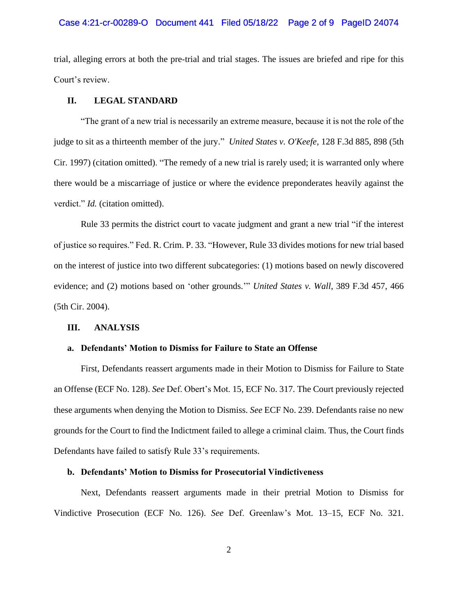#### Case 4:21-cr-00289-O Document 441 Filed 05/18/22 Page 2 of 9 PageID 24074

trial, alleging errors at both the pre-trial and trial stages. The issues are briefed and ripe for this Court's review.

## **II. LEGAL STANDARD**

"The grant of a new trial is necessarily an extreme measure, because it is not the role of the judge to sit as a thirteenth member of the jury." *United States v. O'Keefe*, 128 F.3d 885, 898 (5th Cir. 1997) (citation omitted). "The remedy of a new trial is rarely used; it is warranted only where there would be a miscarriage of justice or where the evidence preponderates heavily against the verdict." *Id.* (citation omitted).

Rule 33 permits the district court to vacate judgment and grant a new trial "if the interest of justice so requires." Fed. R. Crim. P. 33. "However, Rule 33 divides motions for new trial based on the interest of justice into two different subcategories: (1) motions based on newly discovered evidence; and (2) motions based on 'other grounds.'" *United States v. Wall*, 389 F.3d 457, 466 (5th Cir. 2004).

#### **III. ANALYSIS**

#### **a. Defendants' Motion to Dismiss for Failure to State an Offense**

First, Defendants reassert arguments made in their Motion to Dismiss for Failure to State an Offense (ECF No. 128). *See* Def. Obert's Mot. 15, ECF No. 317. The Court previously rejected these arguments when denying the Motion to Dismiss. *See* ECF No. 239. Defendants raise no new grounds for the Court to find the Indictment failed to allege a criminal claim. Thus, the Court finds Defendants have failed to satisfy Rule 33's requirements.

#### **b. Defendants' Motion to Dismiss for Prosecutorial Vindictiveness**

Next, Defendants reassert arguments made in their pretrial Motion to Dismiss for Vindictive Prosecution (ECF No. 126). *See* Def. Greenlaw's Mot. 13–15, ECF No. 321.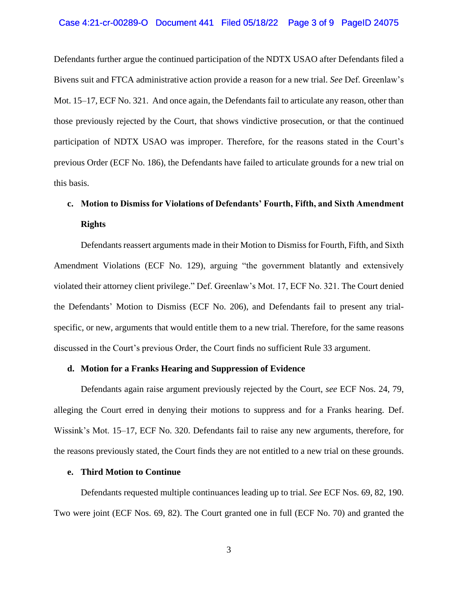#### Case 4:21-cr-00289-O Document 441 Filed 05/18/22 Page 3 of 9 PageID 24075

Defendants further argue the continued participation of the NDTX USAO after Defendants filed a Bivens suit and FTCA administrative action provide a reason for a new trial. *See* Def. Greenlaw's Mot. 15–17, ECF No. 321. And once again, the Defendants fail to articulate any reason, other than those previously rejected by the Court, that shows vindictive prosecution, or that the continued participation of NDTX USAO was improper. Therefore, for the reasons stated in the Court's previous Order (ECF No. 186), the Defendants have failed to articulate grounds for a new trial on this basis.

# **c. Motion to Dismiss for Violations of Defendants' Fourth, Fifth, and Sixth Amendment Rights**

Defendants reassert arguments made in their Motion to Dismiss for Fourth, Fifth, and Sixth Amendment Violations (ECF No. 129), arguing "the government blatantly and extensively violated their attorney client privilege." Def. Greenlaw's Mot. 17, ECF No. 321. The Court denied the Defendants' Motion to Dismiss (ECF No. 206), and Defendants fail to present any trialspecific, or new, arguments that would entitle them to a new trial. Therefore, for the same reasons discussed in the Court's previous Order, the Court finds no sufficient Rule 33 argument.

#### **d. Motion for a Franks Hearing and Suppression of Evidence**

Defendants again raise argument previously rejected by the Court, *see* ECF Nos. 24, 79, alleging the Court erred in denying their motions to suppress and for a Franks hearing. Def. Wissink's Mot. 15–17, ECF No. 320. Defendants fail to raise any new arguments, therefore, for the reasons previously stated, the Court finds they are not entitled to a new trial on these grounds.

## **e. Third Motion to Continue**

Defendants requested multiple continuances leading up to trial. *See* ECF Nos. 69, 82, 190. Two were joint (ECF Nos. 69, 82). The Court granted one in full (ECF No. 70) and granted the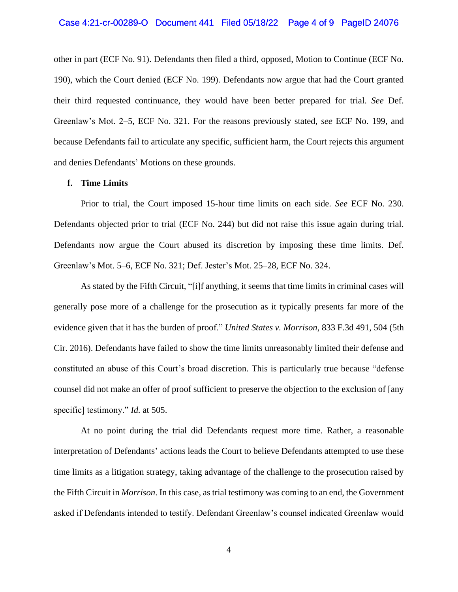#### Case 4:21-cr-00289-O Document 441 Filed 05/18/22 Page 4 of 9 PageID 24076

other in part (ECF No. 91). Defendants then filed a third, opposed, Motion to Continue (ECF No. 190), which the Court denied (ECF No. 199). Defendants now argue that had the Court granted their third requested continuance, they would have been better prepared for trial. *See* Def. Greenlaw's Mot. 2–5, ECF No. 321. For the reasons previously stated, *see* ECF No. 199, and because Defendants fail to articulate any specific, sufficient harm, the Court rejects this argument and denies Defendants' Motions on these grounds.

#### **f. Time Limits**

Prior to trial, the Court imposed 15-hour time limits on each side. *See* ECF No. 230. Defendants objected prior to trial (ECF No. 244) but did not raise this issue again during trial. Defendants now argue the Court abused its discretion by imposing these time limits. Def. Greenlaw's Mot. 5–6, ECF No. 321; Def. Jester's Mot. 25–28, ECF No. 324.

As stated by the Fifth Circuit, "[i]f anything, it seems that time limits in criminal cases will generally pose more of a challenge for the prosecution as it typically presents far more of the evidence given that it has the burden of proof." *United States v. Morrison*, 833 F.3d 491, 504 (5th Cir. 2016). Defendants have failed to show the time limits unreasonably limited their defense and constituted an abuse of this Court's broad discretion. This is particularly true because "defense counsel did not make an offer of proof sufficient to preserve the objection to the exclusion of [any specific] testimony." *Id.* at 505.

At no point during the trial did Defendants request more time. Rather, a reasonable interpretation of Defendants' actions leads the Court to believe Defendants attempted to use these time limits as a litigation strategy, taking advantage of the challenge to the prosecution raised by the Fifth Circuit in *Morrison*. In this case, as trial testimony was coming to an end, the Government asked if Defendants intended to testify. Defendant Greenlaw's counsel indicated Greenlaw would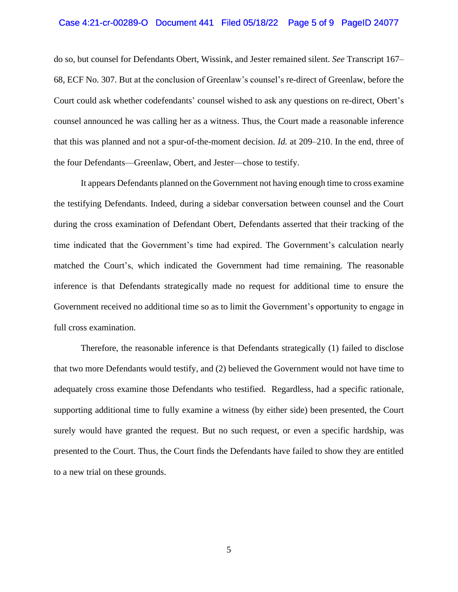#### Case 4:21-cr-00289-O Document 441 Filed 05/18/22 Page 5 of 9 PageID 24077

do so, but counsel for Defendants Obert, Wissink, and Jester remained silent. *See* Transcript 167– 68, ECF No. 307. But at the conclusion of Greenlaw's counsel's re-direct of Greenlaw, before the Court could ask whether codefendants' counsel wished to ask any questions on re-direct, Obert's counsel announced he was calling her as a witness. Thus, the Court made a reasonable inference that this was planned and not a spur-of-the-moment decision. *Id.* at 209–210. In the end, three of the four Defendants—Greenlaw, Obert, and Jester—chose to testify.

It appears Defendants planned on the Government not having enough time to cross examine the testifying Defendants. Indeed, during a sidebar conversation between counsel and the Court during the cross examination of Defendant Obert, Defendants asserted that their tracking of the time indicated that the Government's time had expired. The Government's calculation nearly matched the Court's, which indicated the Government had time remaining. The reasonable inference is that Defendants strategically made no request for additional time to ensure the Government received no additional time so as to limit the Government's opportunity to engage in full cross examination.

Therefore, the reasonable inference is that Defendants strategically (1) failed to disclose that two more Defendants would testify, and (2) believed the Government would not have time to adequately cross examine those Defendants who testified. Regardless, had a specific rationale, supporting additional time to fully examine a witness (by either side) been presented, the Court surely would have granted the request. But no such request, or even a specific hardship, was presented to the Court. Thus, the Court finds the Defendants have failed to show they are entitled to a new trial on these grounds.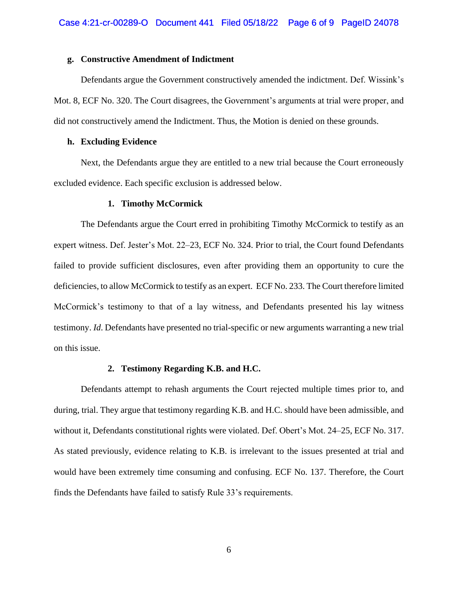#### **g. Constructive Amendment of Indictment**

Defendants argue the Government constructively amended the indictment. Def. Wissink's Mot. 8, ECF No. 320. The Court disagrees, the Government's arguments at trial were proper, and did not constructively amend the Indictment. Thus, the Motion is denied on these grounds.

#### **h. Excluding Evidence**

Next, the Defendants argue they are entitled to a new trial because the Court erroneously excluded evidence. Each specific exclusion is addressed below.

#### **1. Timothy McCormick**

The Defendants argue the Court erred in prohibiting Timothy McCormick to testify as an expert witness. Def. Jester's Mot. 22–23, ECF No. 324. Prior to trial, the Court found Defendants failed to provide sufficient disclosures, even after providing them an opportunity to cure the deficiencies, to allow McCormick to testify as an expert. ECF No. 233. The Court therefore limited McCormick's testimony to that of a lay witness, and Defendants presented his lay witness testimony. *Id*. Defendants have presented no trial-specific or new arguments warranting a new trial on this issue.

#### **2. Testimony Regarding K.B. and H.C.**

Defendants attempt to rehash arguments the Court rejected multiple times prior to, and during, trial. They argue that testimony regarding K.B. and H.C. should have been admissible, and without it, Defendants constitutional rights were violated. Def. Obert's Mot. 24–25, ECF No. 317. As stated previously, evidence relating to K.B. is irrelevant to the issues presented at trial and would have been extremely time consuming and confusing. ECF No. 137. Therefore, the Court finds the Defendants have failed to satisfy Rule 33's requirements.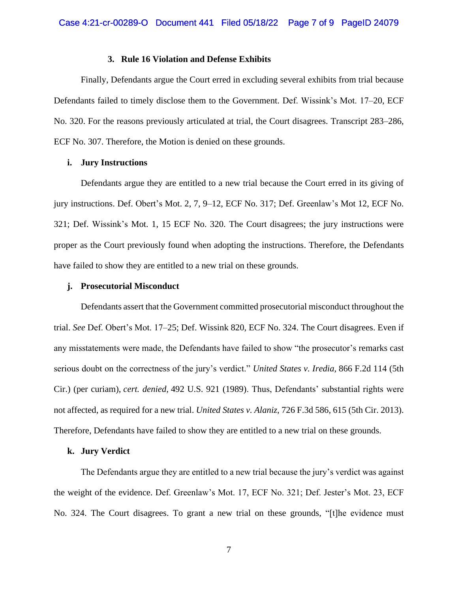#### **3. Rule 16 Violation and Defense Exhibits**

Finally, Defendants argue the Court erred in excluding several exhibits from trial because Defendants failed to timely disclose them to the Government. Def. Wissink's Mot. 17–20, ECF No. 320. For the reasons previously articulated at trial, the Court disagrees. Transcript 283–286, ECF No. 307. Therefore, the Motion is denied on these grounds.

## **i. Jury Instructions**

Defendants argue they are entitled to a new trial because the Court erred in its giving of jury instructions. Def. Obert's Mot. 2, 7, 9–12, ECF No. 317; Def. Greenlaw's Mot 12, ECF No. 321; Def. Wissink's Mot. 1, 15 ECF No. 320. The Court disagrees; the jury instructions were proper as the Court previously found when adopting the instructions. Therefore, the Defendants have failed to show they are entitled to a new trial on these grounds.

#### **j. Prosecutorial Misconduct**

Defendants assert that the Government committed prosecutorial misconduct throughout the trial. *See* Def. Obert's Mot. 17–25; Def. Wissink 820, ECF No. 324. The Court disagrees. Even if any misstatements were made, the Defendants have failed to show "the prosecutor's remarks cast serious doubt on the correctness of the jury's verdict." *United States v. Iredia,* 866 F.2d 114 (5th Cir.) (per curiam), *cert. denied,* 492 U.S. 921 (1989). Thus, Defendants' substantial rights were not affected, as required for a new trial. *United States v. Alaniz*, 726 F.3d 586, 615 (5th Cir. 2013). Therefore, Defendants have failed to show they are entitled to a new trial on these grounds.

#### **k. Jury Verdict**

The Defendants argue they are entitled to a new trial because the jury's verdict was against the weight of the evidence. Def. Greenlaw's Mot. 17, ECF No. 321; Def. Jester's Mot. 23, ECF No. 324. The Court disagrees. To grant a new trial on these grounds, "[t]he evidence must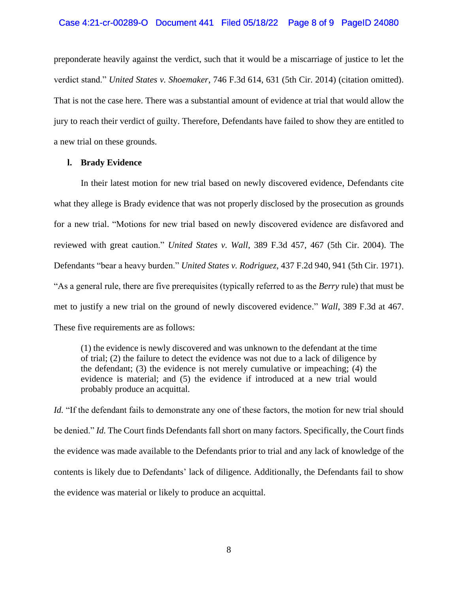#### Case 4:21-cr-00289-O Document 441 Filed 05/18/22 Page 8 of 9 PageID 24080

preponderate heavily against the verdict, such that it would be a miscarriage of justice to let the verdict stand." *United States v. Shoemaker*, 746 F.3d 614, 631 (5th Cir. 2014) (citation omitted). That is not the case here. There was a substantial amount of evidence at trial that would allow the jury to reach their verdict of guilty. Therefore, Defendants have failed to show they are entitled to a new trial on these grounds.

## **l. Brady Evidence**

In their latest motion for new trial based on newly discovered evidence, Defendants cite what they allege is Brady evidence that was not properly disclosed by the prosecution as grounds for a new trial. "Motions for new trial based on newly discovered evidence are disfavored and reviewed with great caution." *United States v. Wall*, 389 F.3d 457, 467 (5th Cir. 2004). The Defendants "bear a heavy burden." *United States v. Rodriguez*, 437 F.2d 940, 941 (5th Cir. 1971). "As a general rule, there are five prerequisites (typically referred to as the *Berry* rule) that must be met to justify a new trial on the ground of newly discovered evidence." *Wall*, 389 F.3d at 467. These five requirements are as follows:

(1) the evidence is newly discovered and was unknown to the defendant at the time of trial; (2) the failure to detect the evidence was not due to a lack of diligence by the defendant; (3) the evidence is not merely cumulative or impeaching; (4) the evidence is material; and (5) the evidence if introduced at a new trial would probably produce an acquittal.

*Id.* "If the defendant fails to demonstrate any one of these factors, the motion for new trial should be denied." *Id.* The Court finds Defendants fall short on many factors. Specifically, the Court finds the evidence was made available to the Defendants prior to trial and any lack of knowledge of the contents is likely due to Defendants' lack of diligence. Additionally, the Defendants fail to show the evidence was material or likely to produce an acquittal.